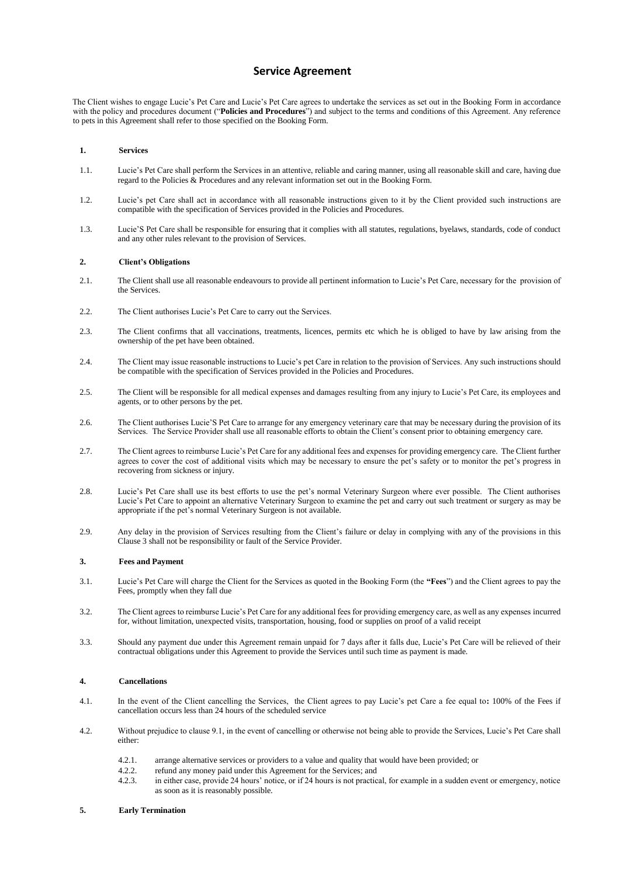# **Service Agreement**

The Client wishes to engage Lucie's Pet Care and Lucie's Pet Care agrees to undertake the services as set out in the Booking Form in accordance with the policy and procedures document ("**Policies and Procedures**") and subject to the terms and conditions of this Agreement. Any reference to pets in this Agreement shall refer to those specified on the Booking Form.

## **1. Services**

- 1.1. Lucie's Pet Care shall perform the Services in an attentive, reliable and caring manner, using all reasonable skill and care, having due regard to the Policies & Procedures and any relevant information set out in the Booking Form.
- 1.2. Lucie's pet Care shall act in accordance with all reasonable instructions given to it by the Client provided such instructions are compatible with the specification of Services provided in the Policies and Procedures.
- 1.3. Lucie'S Pet Care shall be responsible for ensuring that it complies with all statutes, regulations, byelaws, standards, code of conduct and any other rules relevant to the provision of Services.

# **2. Client's Obligations**

- 2.1. The Client shall use all reasonable endeavours to provide all pertinent information to Lucie's Pet Care, necessary for the provision of the Services.
- 2.2. The Client authorises Lucie's Pet Care to carry out the Services.
- 2.3. The Client confirms that all vaccinations, treatments, licences, permits etc which he is obliged to have by law arising from the ownership of the pet have been obtained.
- 2.4. The Client may issue reasonable instructions to Lucie's pet Care in relation to the provision of Services. Any such instructions should be compatible with the specification of Services provided in the Policies and Procedures.
- 2.5. The Client will be responsible for all medical expenses and damages resulting from any injury to Lucie's Pet Care, its employees and agents, or to other persons by the pet.
- 2.6. The Client authorises Lucie'S Pet Care to arrange for any emergency veterinary care that may be necessary during the provision of its Services. The Service Provider shall use all reasonable efforts to obtain the Client's consent prior to obtaining emergency care.
- 2.7. The Client agrees to reimburse Lucie's Pet Care for any additional fees and expenses for providing emergency care. The Client further agrees to cover the cost of additional visits which may be necessary to ensure the pet's safety or to monitor the pet's progress in recovering from sickness or injury.
- 2.8. Lucie's Pet Care shall use its best efforts to use the pet's normal Veterinary Surgeon where ever possible. The Client authorises Lucie's Pet Care to appoint an alternative Veterinary Surgeon to examine the pet and carry out such treatment or surgery as may be appropriate if the pet's normal Veterinary Surgeon is not available.
- 2.9. Any delay in the provision of Services resulting from the Client's failure or delay in complying with any of the provisions in this Clause 3 shall not be responsibility or fault of the Service Provider.

# **3. Fees and Payment**

- 3.1. Lucie's Pet Care will charge the Client for the Services as quoted in the Booking Form (the **"Fees**") and the Client agrees to pay the Fees, promptly when they fall due
- 3.2. The Client agrees to reimburse Lucie's Pet Care for any additional fees for providing emergency care, as well as any expenses incurred for, without limitation, unexpected visits, transportation, housing, food or supplies on proof of a valid receipt
- 3.3. Should any payment due under this Agreement remain unpaid for 7 days after it falls due, Lucie's Pet Care will be relieved of their contractual obligations under this Agreement to provide the Services until such time as payment is made.

# **4. Cancellations**

- 4.1. In the event of the Client cancelling the Services, the Client agrees to pay Lucie's pet Care a fee equal to**:** 100% of the Fees if cancellation occurs less than 24 hours of the scheduled service
- 4.2. Without prejudice to clause 9.1, in the event of cancelling or otherwise not being able to provide the Services, Lucie's Pet Care shall either:
	- 4.2.1. arrange alternative services or providers to a value and quality that would have been provided; or
	- 4.2.2. refund any money paid under this Agreement for the Services; and
	- 4.2.3. in either case, provide 24 hours' notice, or if 24 hours is not practical, for example in a sudden event or emergency, notice as soon as it is reasonably possible.

#### **5. Early Termination**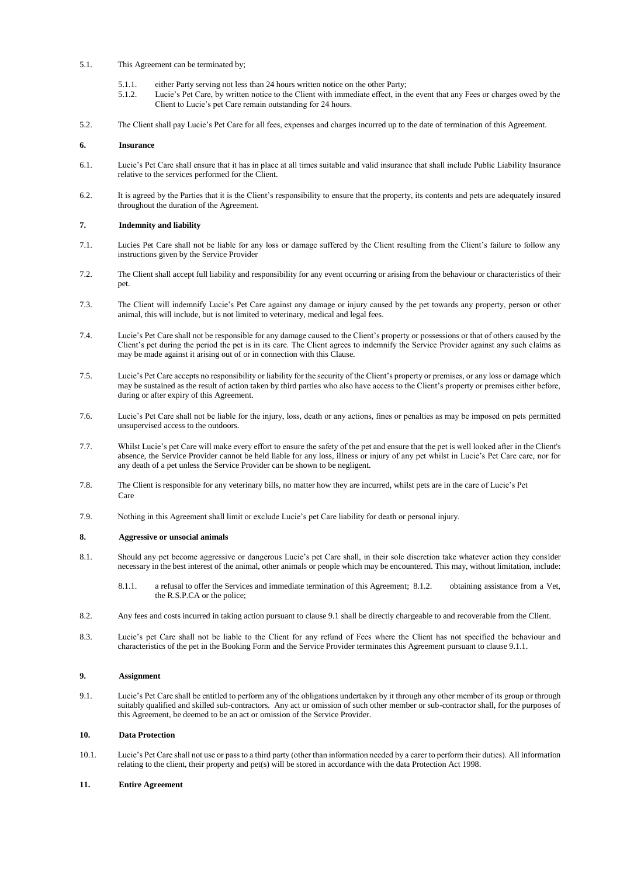- 5.1. This Agreement can be terminated by;
	- 5.1.1. either Party serving not less than 24 hours written notice on the other Party;
	- 5.1.2. Lucie's Pet Care, by written notice to the Client with immediate effect, in the event that any Fees or charges owed by the Client to Lucie's pet Care remain outstanding for 24 hours.
- 5.2. The Client shall pay Lucie's Pet Care for all fees, expenses and charges incurred up to the date of termination of this Agreement.

#### **6. Insurance**

- 6.1. Lucie's Pet Care shall ensure that it has in place at all times suitable and valid insurance that shall include Public Liability Insurance relative to the services performed for the Client.
- 6.2. It is agreed by the Parties that it is the Client's responsibility to ensure that the property, its contents and pets are adequately insured throughout the duration of the Agreement.

#### **7. Indemnity and liability**

- 7.1. Lucies Pet Care shall not be liable for any loss or damage suffered by the Client resulting from the Client's failure to follow any instructions given by the Service Provider
- 7.2. The Client shall accept full liability and responsibility for any event occurring or arising from the behaviour or characteristics of their pet.
- 7.3. The Client will indemnify Lucie's Pet Care against any damage or injury caused by the pet towards any property, person or other animal, this will include, but is not limited to veterinary, medical and legal fees.
- 7.4. Lucie's Pet Care shall not be responsible for any damage caused to the Client's property or possessions or that of others caused by the Client's pet during the period the pet is in its care. The Client agrees to indemnify the Service Provider against any such claims as may be made against it arising out of or in connection with this Clause.
- 7.5. Lucie's Pet Care accepts no responsibility or liability for the security of the Client's property or premises, or any loss or damage which may be sustained as the result of action taken by third parties who also have access to the Client's property or premises either before, during or after expiry of this Agreement.
- 7.6. Lucie's Pet Care shall not be liable for the injury, loss, death or any actions, fines or penalties as may be imposed on pets permitted unsupervised access to the outdoors.
- 7.7. Whilst Lucie's pet Care will make every effort to ensure the safety of the pet and ensure that the pet is well looked after in the Client's absence, the Service Provider cannot be held liable for any loss, illness or injury of any pet whilst in Lucie's Pet Care care, nor for any death of a pet unless the Service Provider can be shown to be negligent.
- 7.8. The Client is responsible for any veterinary bills, no matter how they are incurred, whilst pets are in the care of Lucie's Pet Care
- 7.9. Nothing in this Agreement shall limit or exclude Lucie's pet Care liability for death or personal injury.

#### **8. Aggressive or unsocial animals**

- 8.1. Should any pet become aggressive or dangerous Lucie's pet Care shall, in their sole discretion take whatever action they consider necessary in the best interest of the animal, other animals or people which may be encountered. This may, without limitation, include:
	- 8.1.1. a refusal to offer the Services and immediate termination of this Agreement; 8.1.2. obtaining assistance from a Vet, the R.S.P.CA or the police;
- 8.2. Any fees and costs incurred in taking action pursuant to clause 9.1 shall be directly chargeable to and recoverable from the Client.
- 8.3. Lucie's pet Care shall not be liable to the Client for any refund of Fees where the Client has not specified the behaviour and characteristics of the pet in the Booking Form and the Service Provider terminates this Agreement pursuant to clause 9.1.1.

## **9. Assignment**

9.1. Lucie's Pet Care shall be entitled to perform any of the obligations undertaken by it through any other member of its group or through suitably qualified and skilled sub-contractors. Any act or omission of such other member or sub-contractor shall, for the purposes of this Agreement, be deemed to be an act or omission of the Service Provider.

### **10. Data Protection**

10.1. Lucie's Pet Care shall not use or pass to a third party (other than information needed by a carer to perform their duties). All information relating to the client, their property and pet(s) will be stored in accordance with the data Protection Act 1998.

#### **11. Entire Agreement**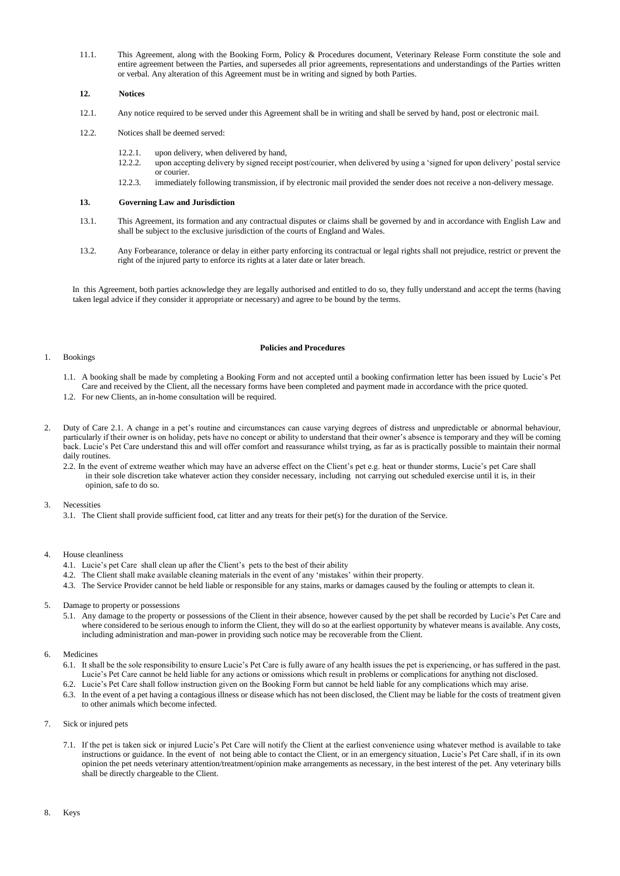11.1. This Agreement, along with the Booking Form, Policy & Procedures document, Veterinary Release Form constitute the sole and entire agreement between the Parties, and supersedes all prior agreements, representations and understandings of the Parties written or verbal. Any alteration of this Agreement must be in writing and signed by both Parties.

## **12. Notices**

- 12.1. Any notice required to be served under this Agreement shall be in writing and shall be served by hand, post or electronic mail.
- 12.2. Notices shall be deemed served:
	- 12.2.1. upon delivery, when delivered by hand,
	- 12.2.2. upon accepting delivery by signed receipt post/courier, when delivered by using a 'signed for upon delivery' postal service or courier.
	- 12.2.3. immediately following transmission, if by electronic mail provided the sender does not receive a non-delivery message.

# **13. Governing Law and Jurisdiction**

- 13.1. This Agreement, its formation and any contractual disputes or claims shall be governed by and in accordance with English Law and shall be subject to the exclusive jurisdiction of the courts of England and Wales.
- 13.2. Any Forbearance, tolerance or delay in either party enforcing its contractual or legal rights shall not prejudice, restrict or prevent the right of the injured party to enforce its rights at a later date or later breach.

In this Agreement, both parties acknowledge they are legally authorised and entitled to do so, they fully understand and accept the terms (having taken legal advice if they consider it appropriate or necessary) and agree to be bound by the terms.

### 1. Bookings

# **Policies and Procedures**

- 1.1. A booking shall be made by completing a Booking Form and not accepted until a booking confirmation letter has been issued by Lucie's Pet Care and received by the Client, all the necessary forms have been completed and payment made in accordance with the price quoted. 1.2. For new Clients, an in-home consultation will be required.
- 2. Duty of Care 2.1. A change in a pet's routine and circumstances can cause varying degrees of distress and unpredictable or abnormal behaviour, particularly if their owner is on holiday, pets have no concept or ability to understand that their owner's absence is temporary and they will be coming
	- back. Lucie's Pet Care understand this and will offer comfort and reassurance whilst trying, as far as is practically possible to maintain their normal daily routines. 2.2. In the event of extreme weather which may have an adverse effect on the Client's pet e.g. heat or thunder storms, Lucie's pet Care shall
		- in their sole discretion take whatever action they consider necessary, including not carrying out scheduled exercise until it is, in their opinion, safe to do so.
- 3. Necessities
	- 3.1. The Client shall provide sufficient food, cat litter and any treats for their pet(s) for the duration of the Service.

# 4. House cleanliness

- 4.1. Lucie's pet Care shall clean up after the Client's pets to the best of their ability
- 4.2. The Client shall make available cleaning materials in the event of any 'mistakes' within their property.
- 4.3. The Service Provider cannot be held liable or responsible for any stains, marks or damages caused by the fouling or attempts to clean it.
- 5. Damage to property or possessions
	- 5.1. Any damage to the property or possessions of the Client in their absence, however caused by the pet shall be recorded by Lucie's Pet Care and where considered to be serious enough to inform the Client, they will do so at the earliest opportunity by whatever means is available. Any costs, including administration and man-power in providing such notice may be recoverable from the Client.
- 6. Medicines
	- 6.1. It shall be the sole responsibility to ensure Lucie's Pet Care is fully aware of any health issues the pet is experiencing, or has suffered in the past. Lucie's Pet Care cannot be held liable for any actions or omissions which result in problems or complications for anything not disclosed.
	- 6.2. Lucie's Pet Care shall follow instruction given on the Booking Form but cannot be held liable for any complications which may arise.
	- 6.3. In the event of a pet having a contagious illness or disease which has not been disclosed, the Client may be liable for the costs of treatment given to other animals which become infected.
- 7. Sick or injured pets
	- 7.1. If the pet is taken sick or injured Lucie's Pet Care will notify the Client at the earliest convenience using whatever method is available to take instructions or guidance. In the event of not being able to contact the Client, or in an emergency situation, Lucie's Pet Care shall, if in its own opinion the pet needs veterinary attention/treatment/opinion make arrangements as necessary, in the best interest of the pet. Any veterinary bills shall be directly chargeable to the Client.